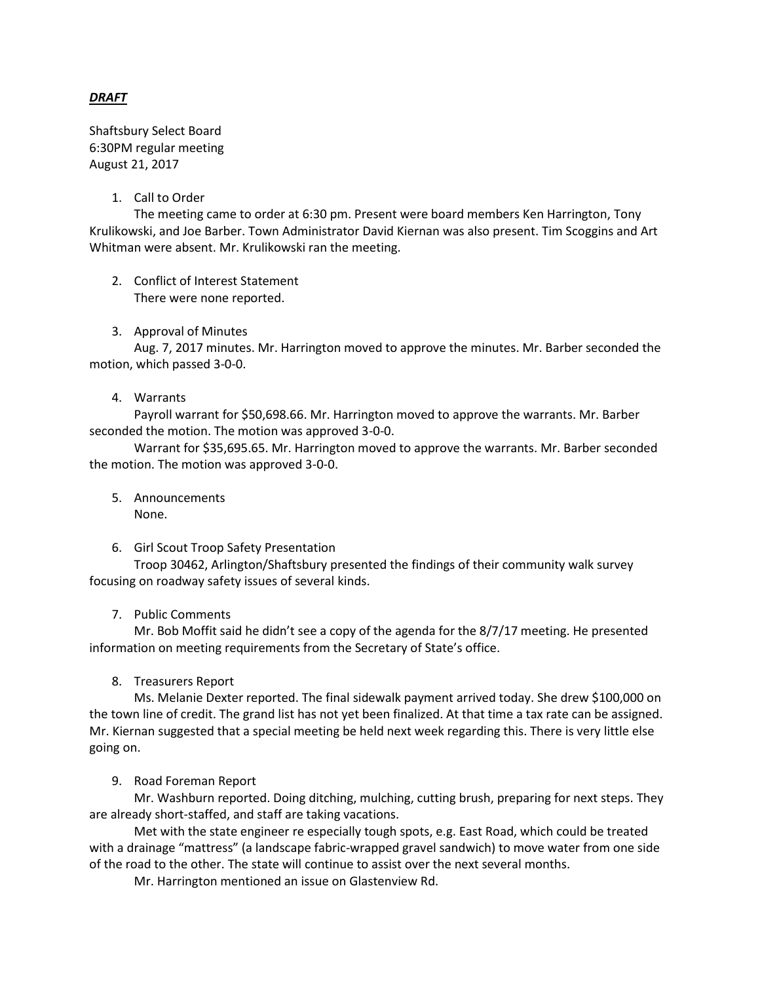### *DRAFT*

Shaftsbury Select Board 6:30PM regular meeting August 21, 2017

#### 1. Call to Order

The meeting came to order at 6:30 pm. Present were board members Ken Harrington, Tony Krulikowski, and Joe Barber. Town Administrator David Kiernan was also present. Tim Scoggins and Art Whitman were absent. Mr. Krulikowski ran the meeting.

2. Conflict of Interest Statement There were none reported.

#### 3. Approval of Minutes

Aug. 7, 2017 minutes. Mr. Harrington moved to approve the minutes. Mr. Barber seconded the motion, which passed 3-0-0.

#### 4. Warrants

Payroll warrant for \$50,698.66. Mr. Harrington moved to approve the warrants. Mr. Barber seconded the motion. The motion was approved 3-0-0.

Warrant for \$35,695.65. Mr. Harrington moved to approve the warrants. Mr. Barber seconded the motion. The motion was approved 3-0-0.

- 5. Announcements None.
- 6. Girl Scout Troop Safety Presentation

Troop 30462, Arlington/Shaftsbury presented the findings of their community walk survey focusing on roadway safety issues of several kinds.

#### 7. Public Comments

Mr. Bob Moffit said he didn't see a copy of the agenda for the 8/7/17 meeting. He presented information on meeting requirements from the Secretary of State's office.

8. Treasurers Report

Ms. Melanie Dexter reported. The final sidewalk payment arrived today. She drew \$100,000 on the town line of credit. The grand list has not yet been finalized. At that time a tax rate can be assigned. Mr. Kiernan suggested that a special meeting be held next week regarding this. There is very little else going on.

#### 9. Road Foreman Report

Mr. Washburn reported. Doing ditching, mulching, cutting brush, preparing for next steps. They are already short-staffed, and staff are taking vacations.

Met with the state engineer re especially tough spots, e.g. East Road, which could be treated with a drainage "mattress" (a landscape fabric-wrapped gravel sandwich) to move water from one side of the road to the other. The state will continue to assist over the next several months.

Mr. Harrington mentioned an issue on Glastenview Rd.